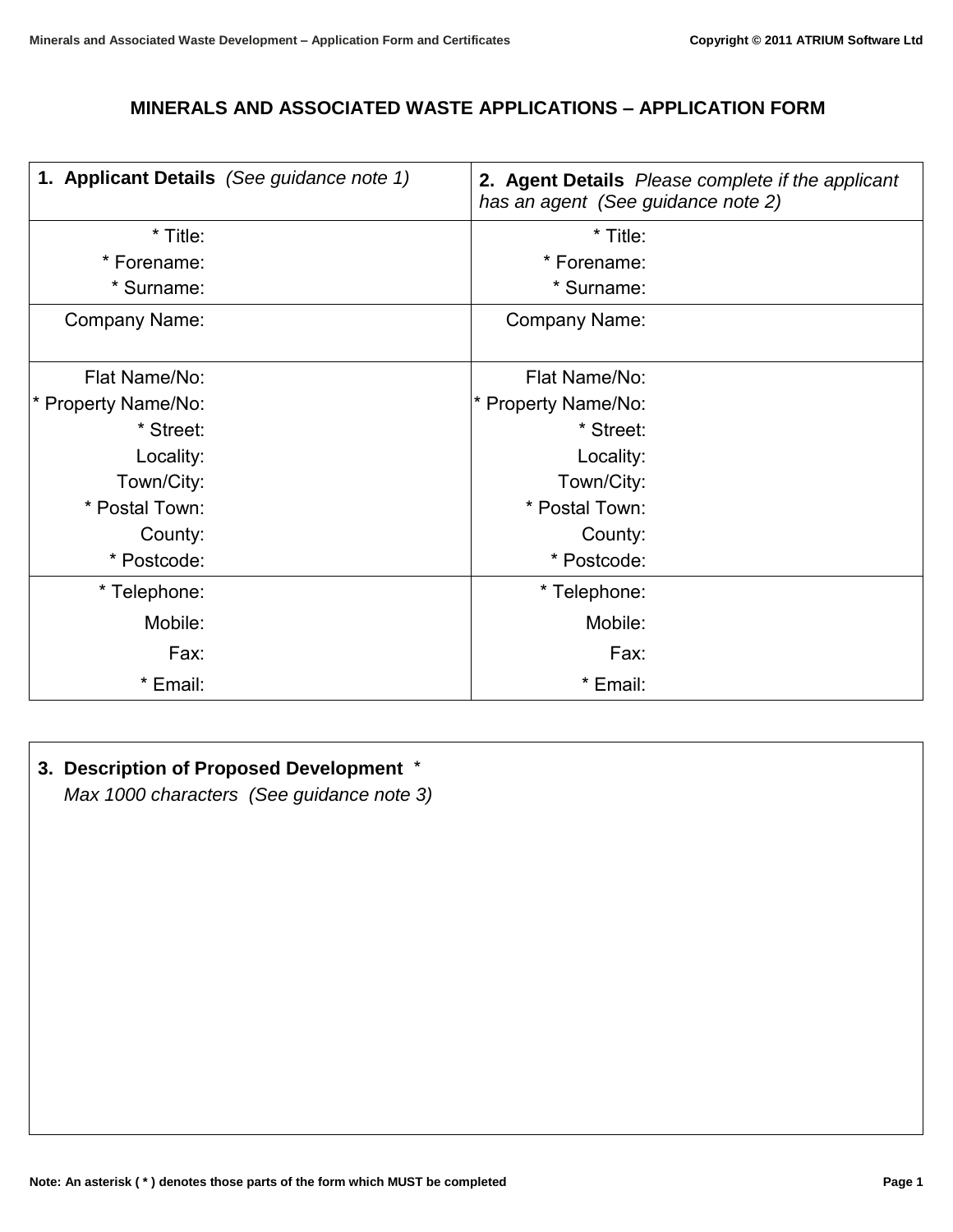## **MINERALS AND ASSOCIATED WASTE APPLICATIONS – APPLICATION FORM**

| 1. Applicant Details (See guidance note 1) | has an agent (See guidance note 2) | 2. Agent Details Please complete if the applicant |
|--------------------------------------------|------------------------------------|---------------------------------------------------|
| * Title:                                   | * Title:                           |                                                   |
| * Forename:                                | * Forename:                        |                                                   |
| * Surname:                                 | * Surname:                         |                                                   |
| Company Name:                              | Company Name:                      |                                                   |
| Flat Name/No:                              | Flat Name/No:                      |                                                   |
| * Property Name/No:                        | * Property Name/No:                |                                                   |
| * Street:                                  | * Street:                          |                                                   |
| Locality:                                  | Locality:                          |                                                   |
| Town/City:                                 | Town/City:                         |                                                   |
| * Postal Town:                             | * Postal Town:                     |                                                   |
| County:                                    | County:                            |                                                   |
| * Postcode:                                | * Postcode:                        |                                                   |
| * Telephone:                               | * Telephone:                       |                                                   |
| Mobile:                                    | Mobile:                            |                                                   |
| Fax:                                       | Fax:                               |                                                   |
| * Email:                                   | * Email:                           |                                                   |

# **3. Description of Proposed Development** \*

*Max 1000 characters (See guidance note 3)*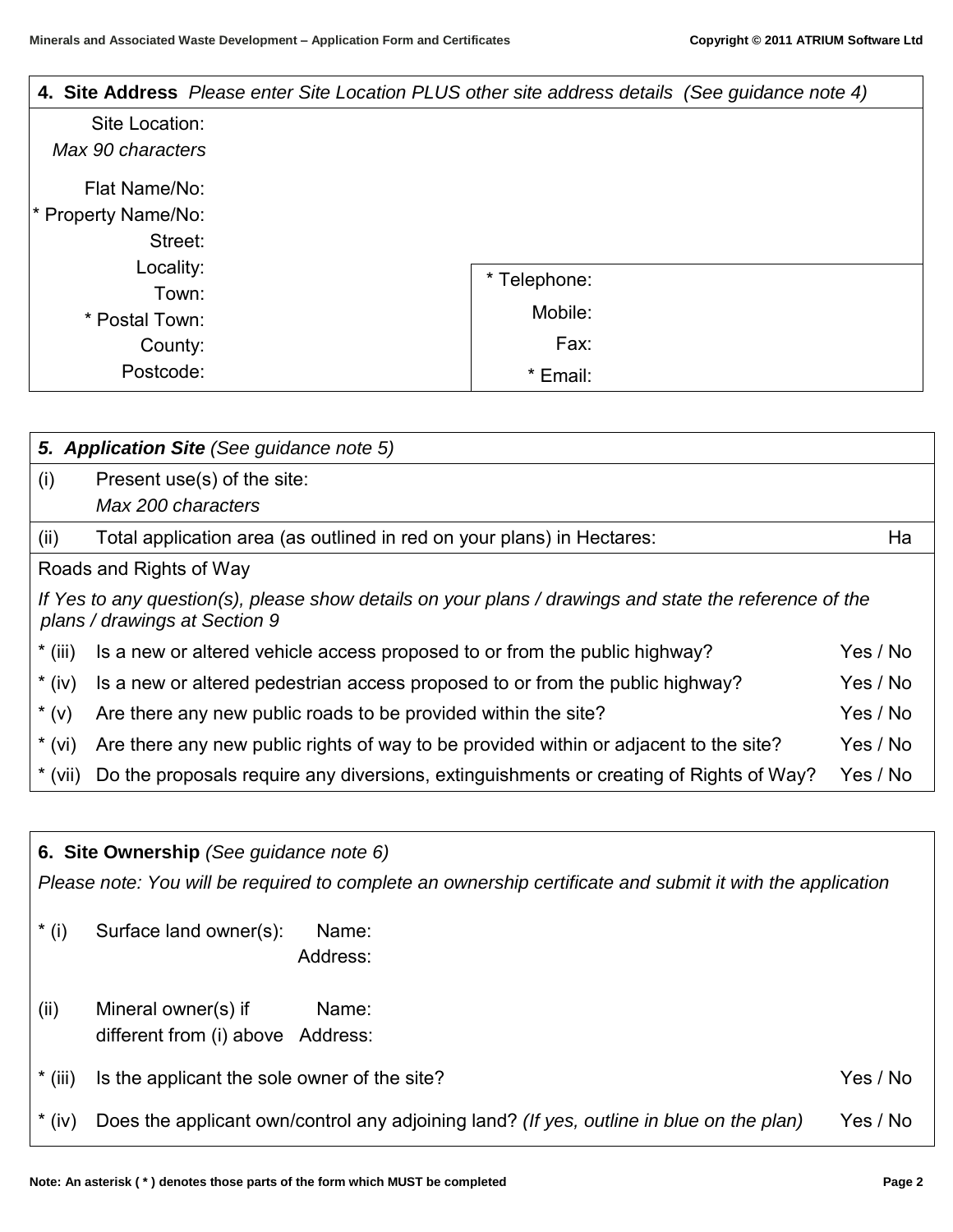| 4. Site Address Please enter Site Location PLUS other site address details (See guidance note 4) |              |
|--------------------------------------------------------------------------------------------------|--------------|
| Site Location:                                                                                   |              |
| Max 90 characters                                                                                |              |
| Flat Name/No:                                                                                    |              |
| * Property Name/No:                                                                              |              |
| Street:                                                                                          |              |
| Locality:                                                                                        | * Telephone: |
| Town:                                                                                            |              |
| * Postal Town:                                                                                   | Mobile:      |
| County:                                                                                          | Fax:         |
| Postcode:                                                                                        | * Email:     |

|           | 5. Application Site (See guidance note 5)                                                                                               |          |
|-----------|-----------------------------------------------------------------------------------------------------------------------------------------|----------|
| (i)       | Present use(s) of the site:                                                                                                             |          |
|           | Max 200 characters                                                                                                                      |          |
| (ii)      | Total application area (as outlined in red on your plans) in Hectares:                                                                  | Ha       |
|           | Roads and Rights of Way                                                                                                                 |          |
|           | If Yes to any question(s), please show details on your plans / drawings and state the reference of the<br>plans / drawings at Section 9 |          |
| $*$ (iii) | Is a new or altered vehicle access proposed to or from the public highway?                                                              | Yes / No |
| $*(iv)$   | Is a new or altered pedestrian access proposed to or from the public highway?                                                           | Yes / No |
| $*(v)$    | Are there any new public roads to be provided within the site?                                                                          | Yes / No |
| $*(vi)$   | Are there any new public rights of way to be provided within or adjacent to the site?                                                   | Yes / No |
| $*(vii)$  | Do the proposals require any diversions, extinguishments or creating of Rights of Way?                                                  | Yes / No |

**6. Site Ownership** *(See guidance note 6)*

*Please note: You will be required to complete an ownership certificate and submit it with the application*

- \* (i) Surface land owner(s): Name: Address:
- (ii) Mineral owner(s) if Name: different from (i) above Address:
- \* (iii) Is the applicant the sole owner of the site? The same set of the site of the site of the site of the site of the site of the site of the site of the site of the site of the site of the site of the site of the site
- \* (iv) Does the applicant own/control any adjoining land? *(If yes, outline in blue on the plan)* Yes / No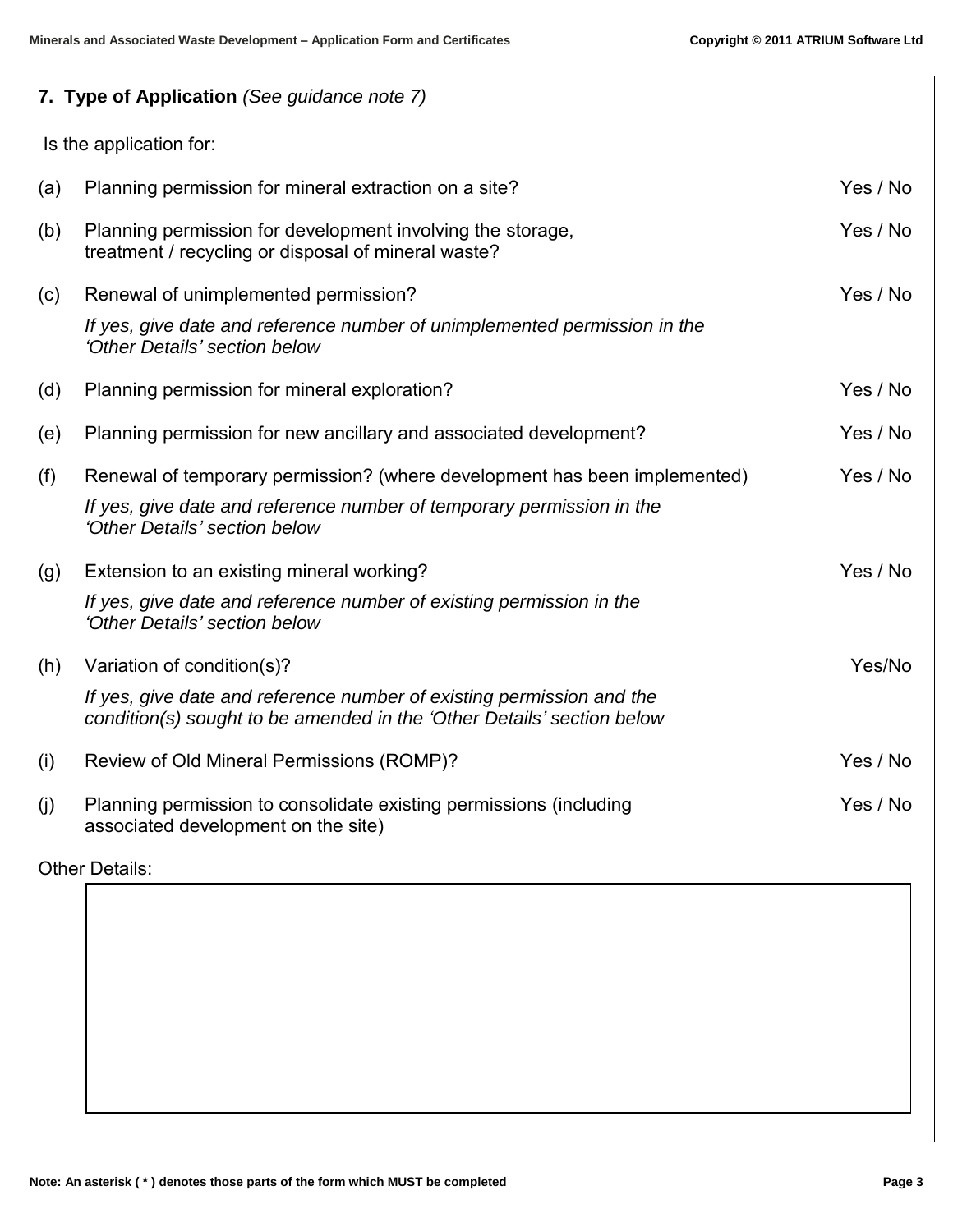|     | 7. Type of Application (See guidance note 7)                                                                                                    |          |
|-----|-------------------------------------------------------------------------------------------------------------------------------------------------|----------|
|     | Is the application for:                                                                                                                         |          |
| (a) | Planning permission for mineral extraction on a site?                                                                                           | Yes / No |
| (b) | Planning permission for development involving the storage,<br>treatment / recycling or disposal of mineral waste?                               | Yes / No |
| (c) | Renewal of unimplemented permission?                                                                                                            | Yes / No |
|     | If yes, give date and reference number of unimplemented permission in the<br>'Other Details' section below                                      |          |
| (d) | Planning permission for mineral exploration?                                                                                                    | Yes / No |
| (e) | Planning permission for new ancillary and associated development?                                                                               | Yes / No |
| (f) | Renewal of temporary permission? (where development has been implemented)                                                                       | Yes / No |
|     | If yes, give date and reference number of temporary permission in the<br>'Other Details' section below                                          |          |
| (g) | Extension to an existing mineral working?                                                                                                       | Yes / No |
|     | If yes, give date and reference number of existing permission in the<br>'Other Details' section below                                           |          |
| (h) | Variation of condition(s)?                                                                                                                      | Yes/No   |
|     | If yes, give date and reference number of existing permission and the<br>condition(s) sought to be amended in the 'Other Details' section below |          |
| (i) | Review of Old Mineral Permissions (ROMP)?                                                                                                       | Yes / No |
| (i) | Planning permission to consolidate existing permissions (including<br>associated development on the site)                                       | Yes / No |

Other Details: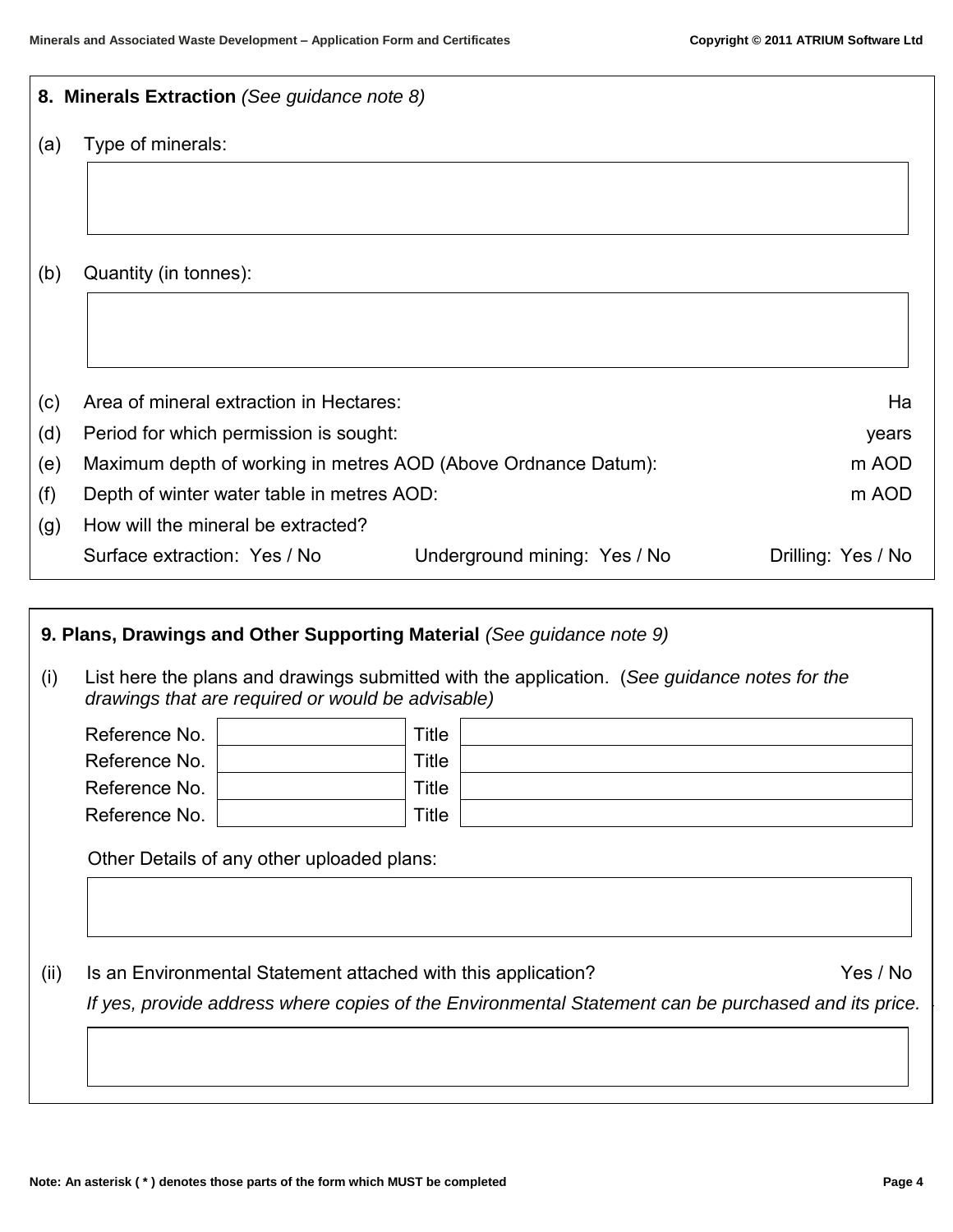| Ha                                                                                                  |
|-----------------------------------------------------------------------------------------------------|
| years                                                                                               |
| m AOD                                                                                               |
| m AOD                                                                                               |
|                                                                                                     |
| Drilling: Yes / No                                                                                  |
|                                                                                                     |
|                                                                                                     |
| List here the plans and drawings submitted with the application. (See guidance notes for the        |
|                                                                                                     |
|                                                                                                     |
|                                                                                                     |
|                                                                                                     |
|                                                                                                     |
|                                                                                                     |
|                                                                                                     |
| Yes / No                                                                                            |
|                                                                                                     |
| If yes, provide address where copies of the Environmental Statement can be purchased and its price. |
|                                                                                                     |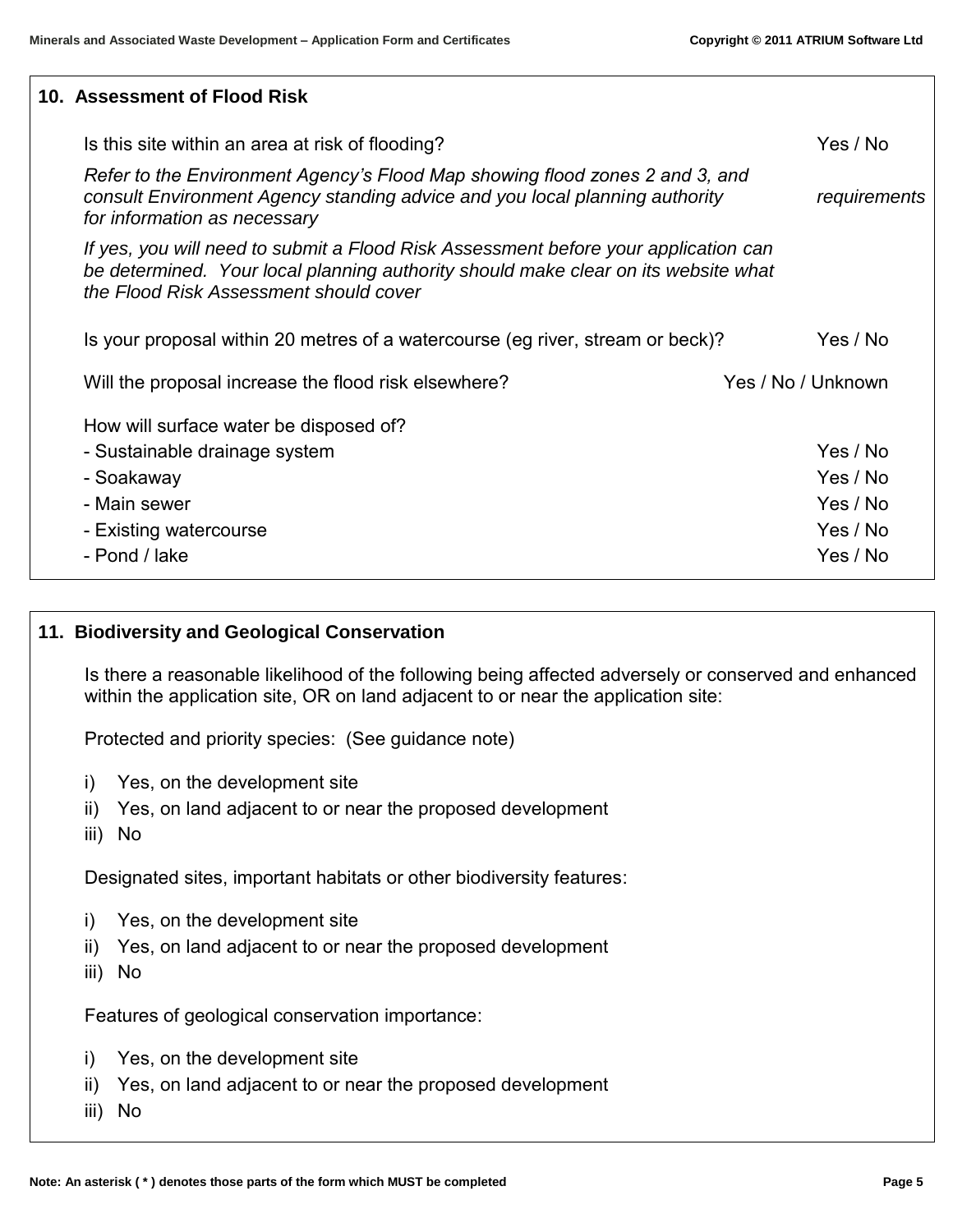## **10. Assessment of Flood Risk**

| Is this site within an area at risk of flooding?                                                                                                                                                                    | Yes / No           |
|---------------------------------------------------------------------------------------------------------------------------------------------------------------------------------------------------------------------|--------------------|
| Refer to the Environment Agency's Flood Map showing flood zones 2 and 3, and<br>consult Environment Agency standing advice and you local planning authority<br>for information as necessary                         | requirements       |
| If yes, you will need to submit a Flood Risk Assessment before your application can<br>be determined. Your local planning authority should make clear on its website what<br>the Flood Risk Assessment should cover |                    |
| Is your proposal within 20 metres of a watercourse (eg river, stream or beck)?                                                                                                                                      | Yes / No           |
| Will the proposal increase the flood risk elsewhere?                                                                                                                                                                | Yes / No / Unknown |
| How will surface water be disposed of?                                                                                                                                                                              |                    |
| - Sustainable drainage system                                                                                                                                                                                       | Yes / No           |
| - Soakaway                                                                                                                                                                                                          | Yes / No           |
| - Main sewer                                                                                                                                                                                                        | Yes / No           |
| - Existing watercourse                                                                                                                                                                                              | Yes / No           |
| - Pond / lake                                                                                                                                                                                                       | Yes / No           |

#### **11. Biodiversity and Geological Conservation**

Is there a reasonable likelihood of the following being affected adversely or conserved and enhanced within the application site, OR on land adjacent to or near the application site:

Protected and priority species: (See guidance note)

- i) Yes, on the development site
- ii) Yes, on land adjacent to or near the proposed development
- iii) No

Designated sites, important habitats or other biodiversity features:

- i) Yes, on the development site
- ii) Yes, on land adjacent to or near the proposed development
- iii) No

Features of geological conservation importance:

- i) Yes, on the development site
- ii) Yes, on land adjacent to or near the proposed development
- iii) No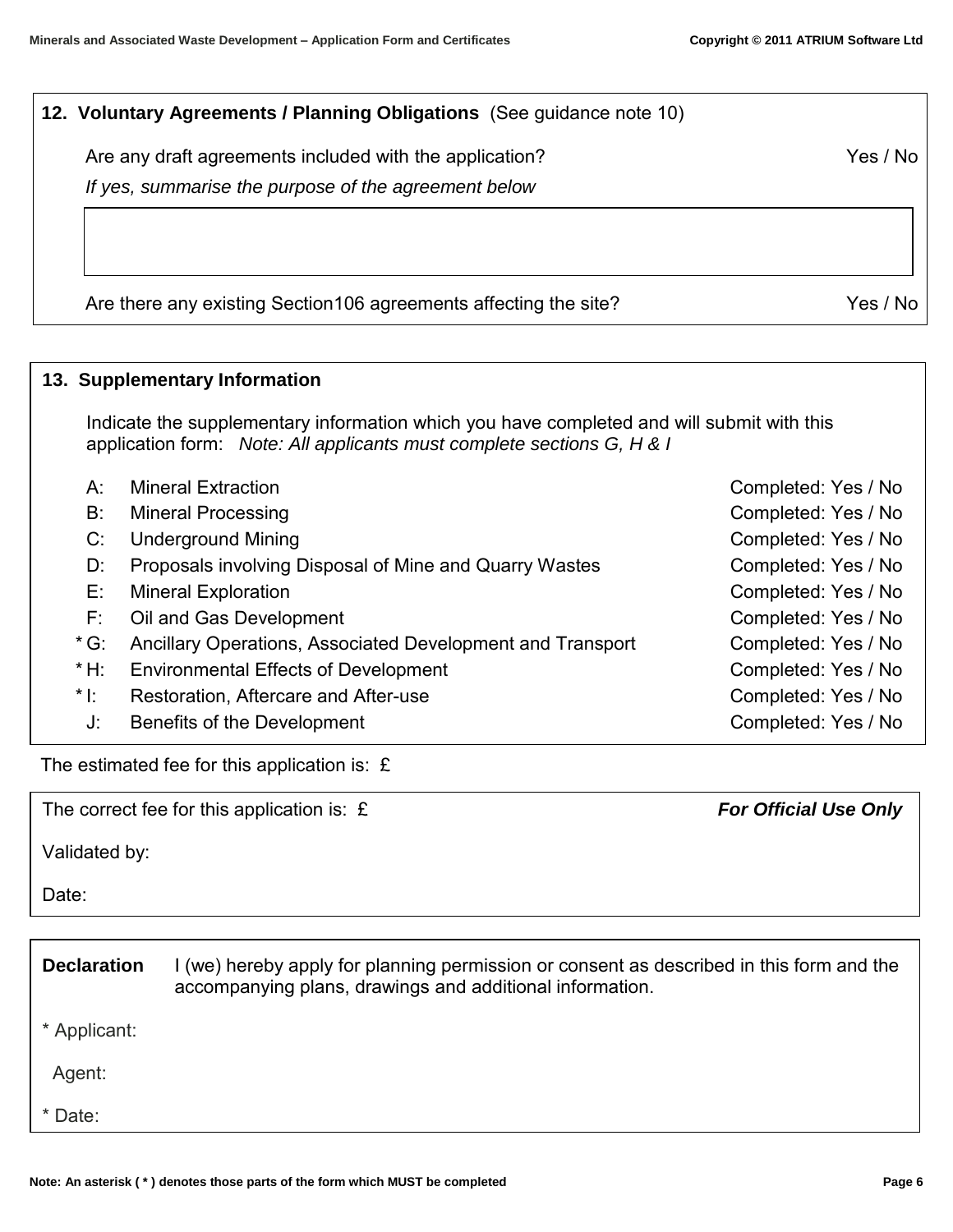| 12. Voluntary Agreements / Planning Obligations (See guidance note 10)                                          |          |
|-----------------------------------------------------------------------------------------------------------------|----------|
| Are any draft agreements included with the application?<br>If yes, summarise the purpose of the agreement below | Yes / No |
|                                                                                                                 |          |
| Are there any existing Section 106 agreements affecting the site?                                               | Yes / No |

# **13. Supplementary Information**  Indicate the supplementary information which you have completed and will submit with this application form: *Note: All applicants must complete sections G, H & I* A: Mineral Extraction **Completed: Yes / No** B: Mineral Processing Completed: Yes / No C: Underground Mining Completed: Yes / No D: Proposals involving Disposal of Mine and Quarry Wastes Completed: Yes / No E: Mineral Exploration **Completed: Yes / No** F: Oil and Gas Development Completed: Yes / No \* G: Ancillary Operations, Associated Development and Transport Completed: Yes / No \* H: Environmental Effects of Development Completed: Yes / No \*I: Restoration, Aftercare and After-use Completed: Yes / No J: Benefits of the Development Completed: Yes / No

The estimated fee for this application is:  $E$ 

The correct fee for this application is: £*For Official Use Only*

Validated by:

Date:

| <b>Declaration</b> | I (we) hereby apply for planning permission or consent as described in this form and the<br>accompanying plans, drawings and additional information. |
|--------------------|------------------------------------------------------------------------------------------------------------------------------------------------------|
| * Applicant:       |                                                                                                                                                      |
| Agent:             |                                                                                                                                                      |
| * Date:            |                                                                                                                                                      |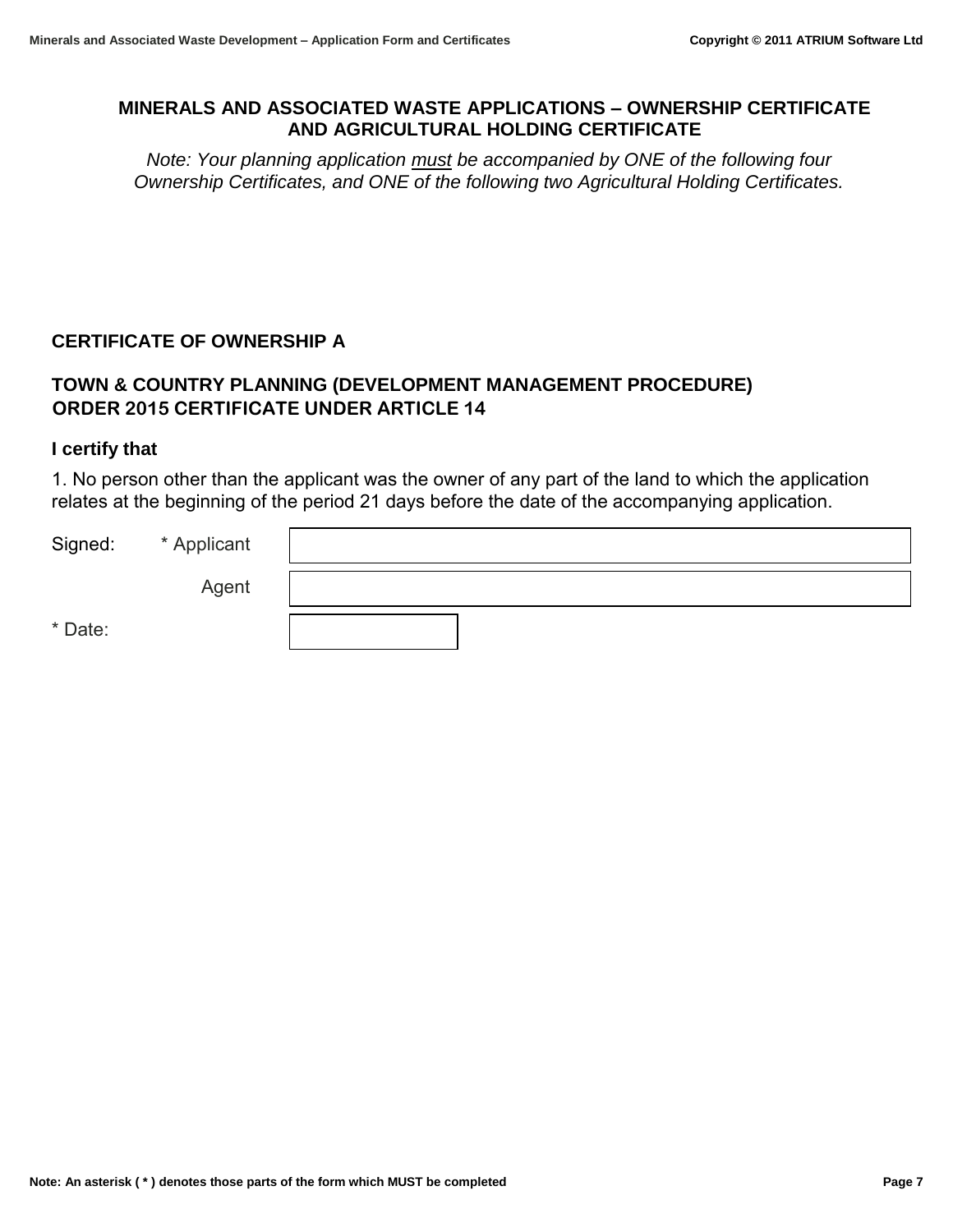## **MINERALS AND ASSOCIATED WASTE APPLICATIONS – OWNERSHIP CERTIFICATE AND AGRICULTURAL HOLDING CERTIFICATE**

*Note: Your planning application must be accompanied by ONE of the following four Ownership Certificates, and ONE of the following two Agricultural Holding Certificates.* 

## **CERTIFICATE OF OWNERSHIP A**

# **TOWN & COUNTRY PLANNING (DEVELOPMENT MANAGEMENT PROCEDURE) ORDER 2015 CERTIFICATE UNDER ARTICLE 14**

#### **I certify that**

1. No person other than the applicant was the owner of any part of the land to which the application relates at the beginning of the period 21 days before the date of the accompanying application.

| Signed: | * Applicant |  |
|---------|-------------|--|
|         | Agent       |  |
| * Date: |             |  |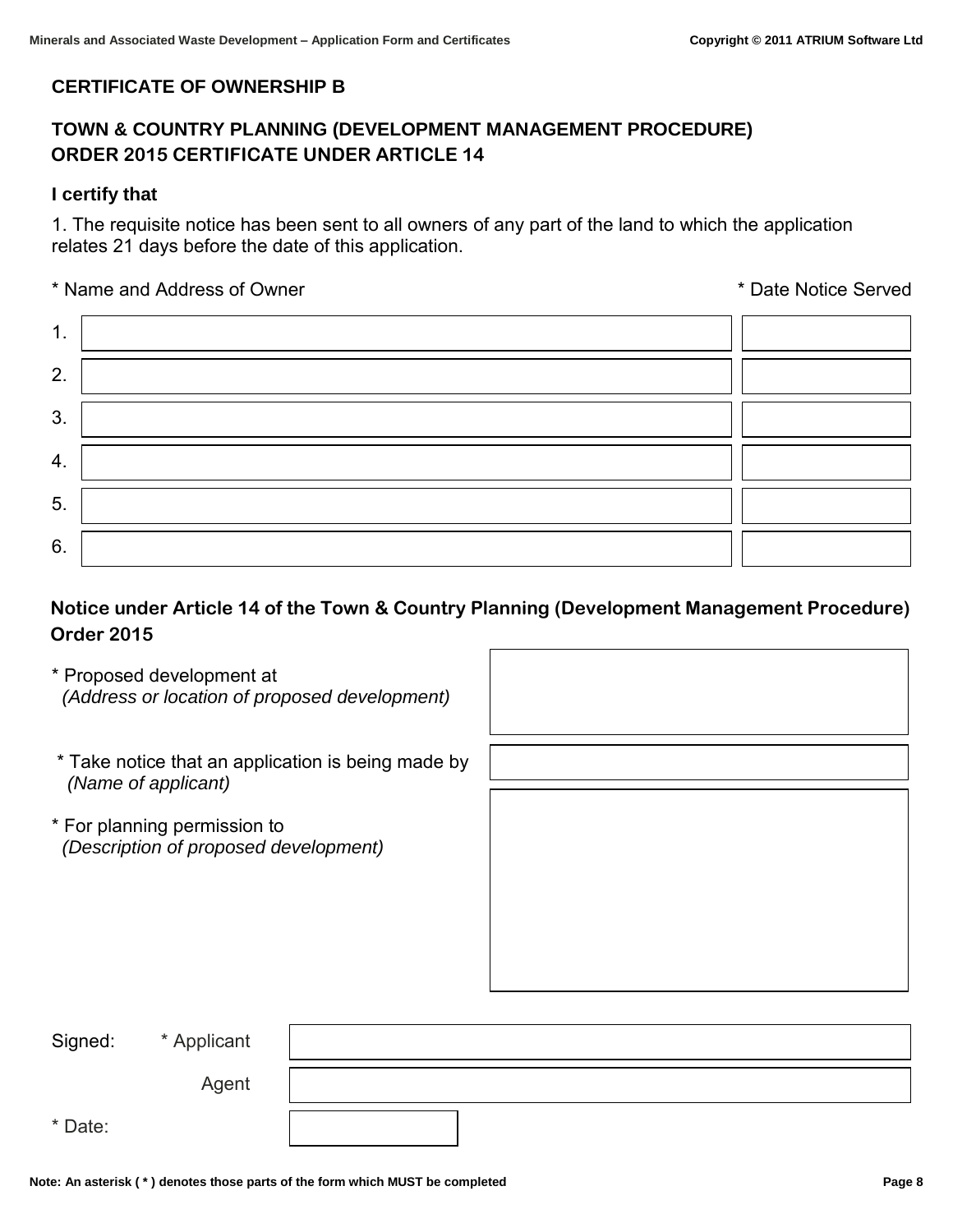## **CERTIFICATE OF OWNERSHIP B**

# **TOWN & COUNTRY PLANNING (DEVELOPMENT MANAGEMENT PROCEDURE) ORDER 2015 CERTIFICATE UNDER ARTICLE 14**

#### **I certify that**

1. The requisite notice has been sent to all owners of any part of the land to which the application relates 21 days before the date of this application.

\* Name and Address of Owner \* Date Notice Served

| 1. |  |
|----|--|
| 2. |  |
| 3. |  |
| 4. |  |
| 5. |  |
| 6. |  |

## **Notice under Article 14 of the Town & Country Planning (Development Management Procedure) Order 2015**

- \* Proposed development at  *(Address or location of proposed development)*
- \* Take notice that an application is being made by  *(Name of applicant)*
- \* For planning permission to *(Description of proposed development)*

| Signed: | * Applicant |  |
|---------|-------------|--|
|         | Agent       |  |
| * Date: |             |  |

Ì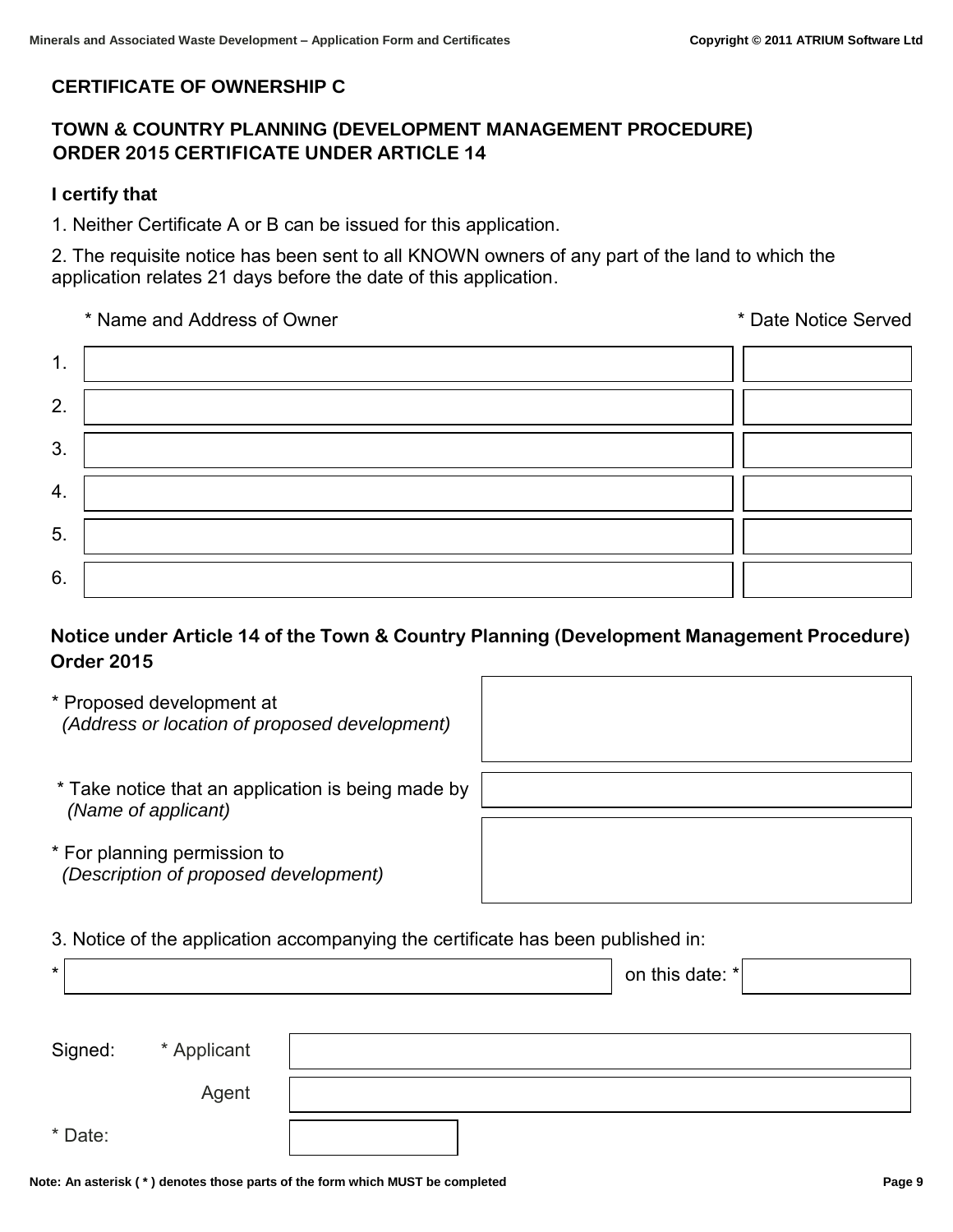## **CERTIFICATE OF OWNERSHIP C**

## **TOWN & COUNTRY PLANNING (DEVELOPMENT MANAGEMENT PROCEDURE) ORDER 2015 CERTIFICATE UNDER ARTICLE 14**

## **I certify that**

1. Neither Certificate A or B can be issued for this application.

2. The requisite notice has been sent to all KNOWN owners of any part of the land to which the application relates 21 days before the date of this application.

\* Name and Address of Owner \* Date Notice Served

| 1. |  |
|----|--|
| 2. |  |
| 3. |  |
| 4. |  |
| 5. |  |
| 6. |  |

# **Notice under Article 14 of the Town & Country Planning (Development Management Procedure) Order 2015**

- \* Proposed development at  *(Address or location of proposed development)*
- $\overline{a}$
- \* Take notice that an application is being made by  *(Name of applicant)*
- \* For planning permission to *(Description of proposed development)*

3. Notice of the application accompanying the certificate has been published in:

| $\star$ |             | on this date: $* $ |
|---------|-------------|--------------------|
|         |             |                    |
| Signed: | * Applicant |                    |
|         | Agent       |                    |
| * Date: |             |                    |

Ì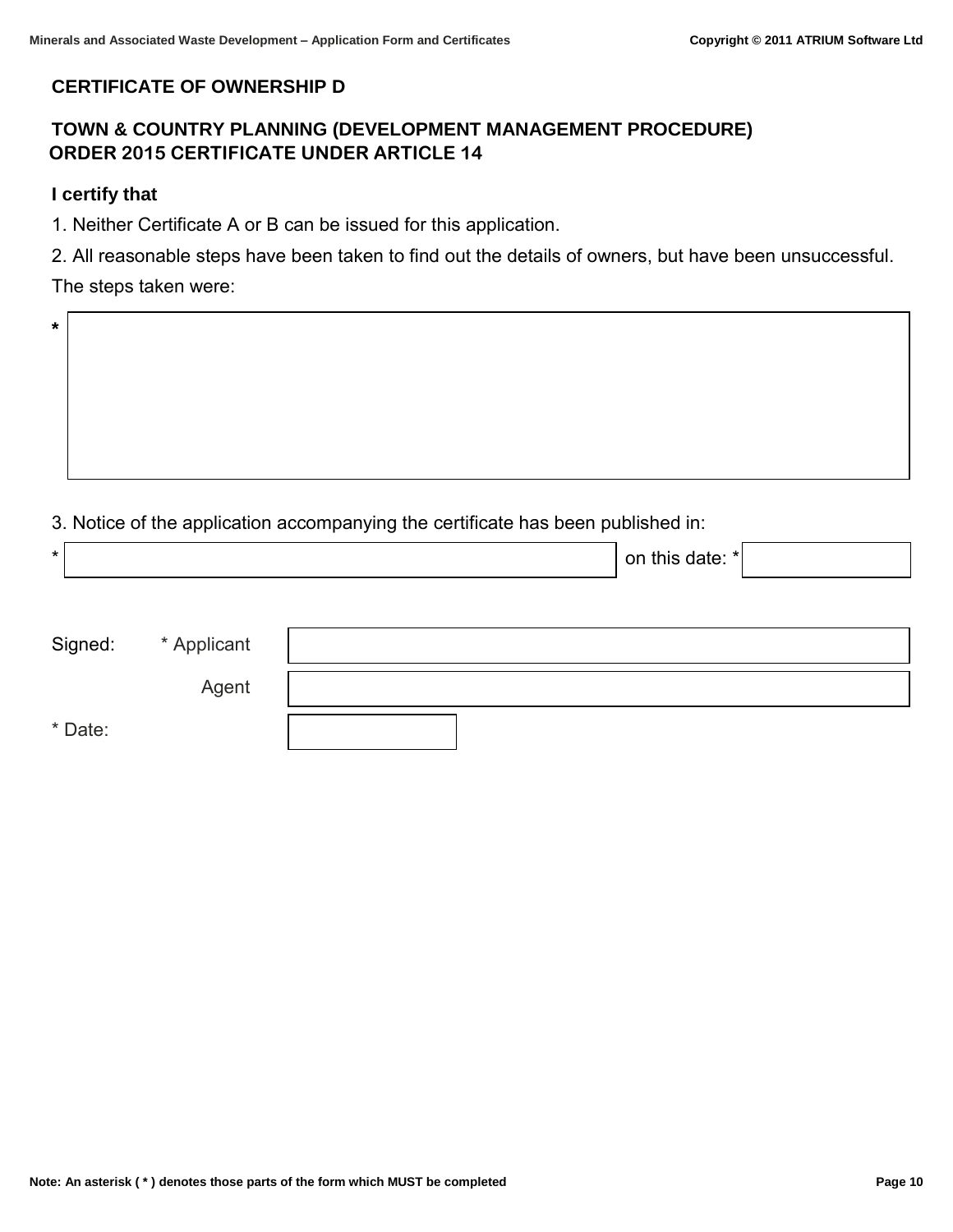## **CERTIFICATE OF OWNERSHIP D**

# **TOWN & COUNTRY PLANNING (DEVELOPMENT MANAGEMENT PROCEDURE) ORDER 2015 CERTIFICATE UNDER ARTICLE 14**

#### **I certify that**

**\*** 

1. Neither Certificate A or B can be issued for this application.

 $\overline{a}$ 

2. All reasonable steps have been taken to find out the details of owners, but have been unsuccessful.

## The steps taken were:

3. Notice of the application accompanying the certificate has been published in:

| $\star$ |             | on this date: $* $ |
|---------|-------------|--------------------|
|         |             |                    |
| Signed: | * Applicant |                    |
|         | Agent       |                    |
| * Date: |             |                    |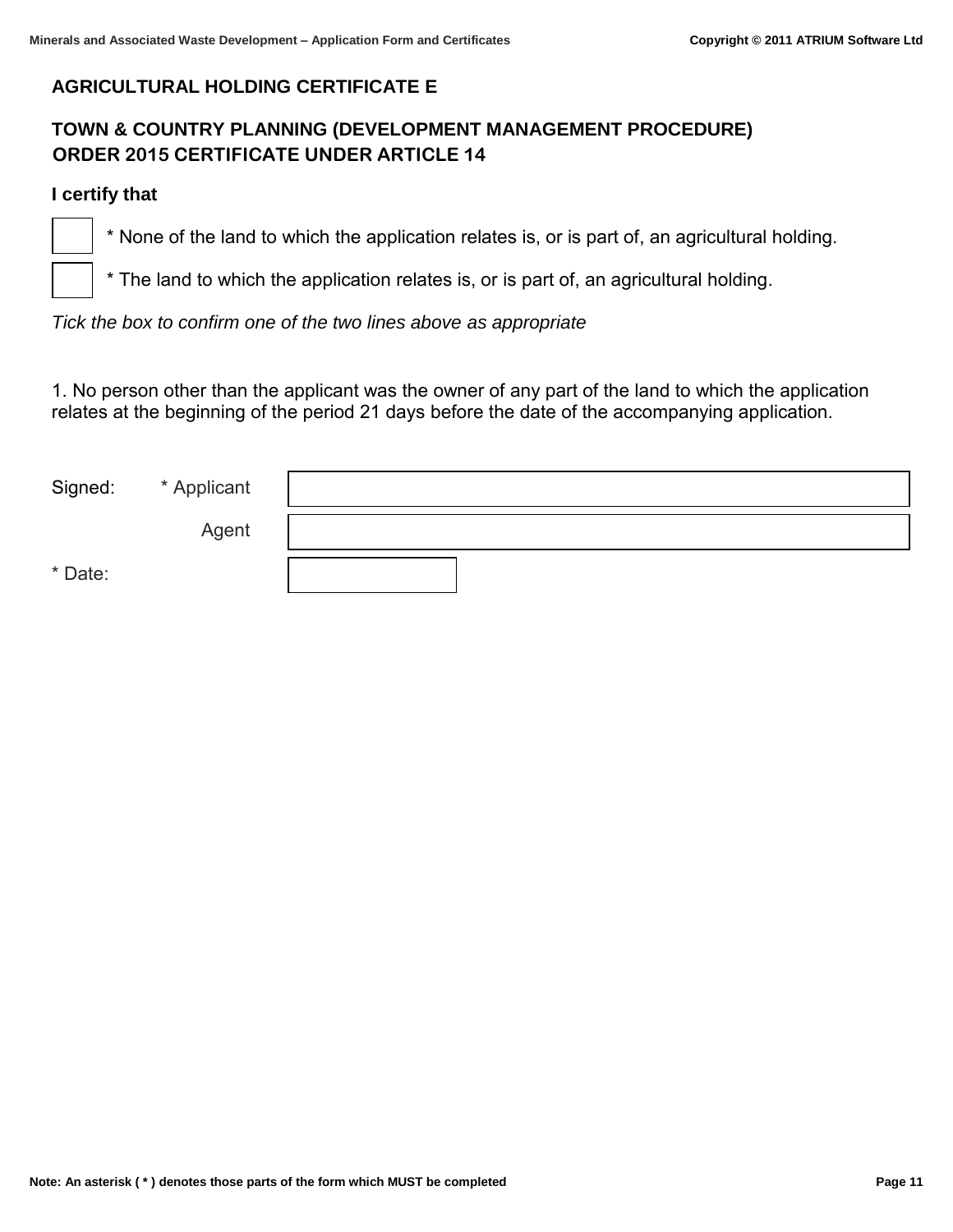## **AGRICULTURAL HOLDING CERTIFICATE E**

# **TOWN & COUNTRY PLANNING (DEVELOPMENT MANAGEMENT PROCEDURE) ORDER 2015 CERTIFICATE UNDER ARTICLE 14**

#### **I certify that**

֒

 $\overline{a}$ 

\* None of the land to which the application relates is, or is part of, an agricultural holding.

\* The land to which the application relates is, or is part of, an agricultural holding.

*Tick the box to confirm one of the two lines above as appropriate* 

1. No person other than the applicant was the owner of any part of the land to which the application relates at the beginning of the period 21 days before the date of the accompanying application.

| Signed: | * Applicant |  |
|---------|-------------|--|
|         | Agent       |  |
| * Date: |             |  |